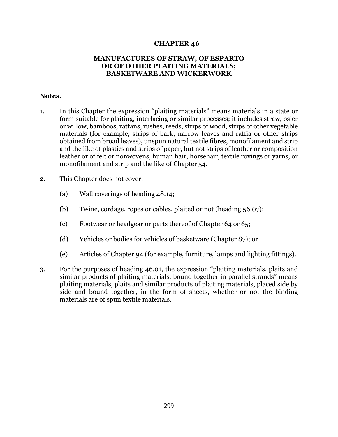## **CHAPTER 46**

## **MANUFACTURES OF STRAW, OF ESPARTO OR OF OTHER PLAITING MATERIALS; BASKETWARE AND WICKERWORK**

## **Notes.**

- 1. In this Chapter the expression "plaiting materials" means materials in a state or form suitable for plaiting, interlacing or similar processes; it includes straw, osier or willow, bamboos, rattans, rushes, reeds, strips of wood, strips of other vegetable materials (for example, strips of bark, narrow leaves and raffia or other strips obtained from broad leaves), unspun natural textile fibres, monofilament and strip and the like of plastics and strips of paper, but not strips of leather or composition leather or of felt or nonwovens, human hair, horsehair, textile rovings or yarns, or monofilament and strip and the like of Chapter 54.
- 2. This Chapter does not cover:
	- (a) Wall coverings of heading 48.14;
	- (b) Twine, cordage, ropes or cables, plaited or not (heading 56.07);
	- (c) Footwear or headgear or parts thereof of Chapter 64 or 65;
	- (d) Vehicles or bodies for vehicles of basketware (Chapter 87); or
	- (e) Articles of Chapter 94 (for example, furniture, lamps and lighting fittings).
- 3. For the purposes of heading 46.01, the expression "plaiting materials, plaits and similar products of plaiting materials, bound together in parallel strands" means plaiting materials, plaits and similar products of plaiting materials, placed side by side and bound together, in the form of sheets, whether or not the binding materials are of spun textile materials.